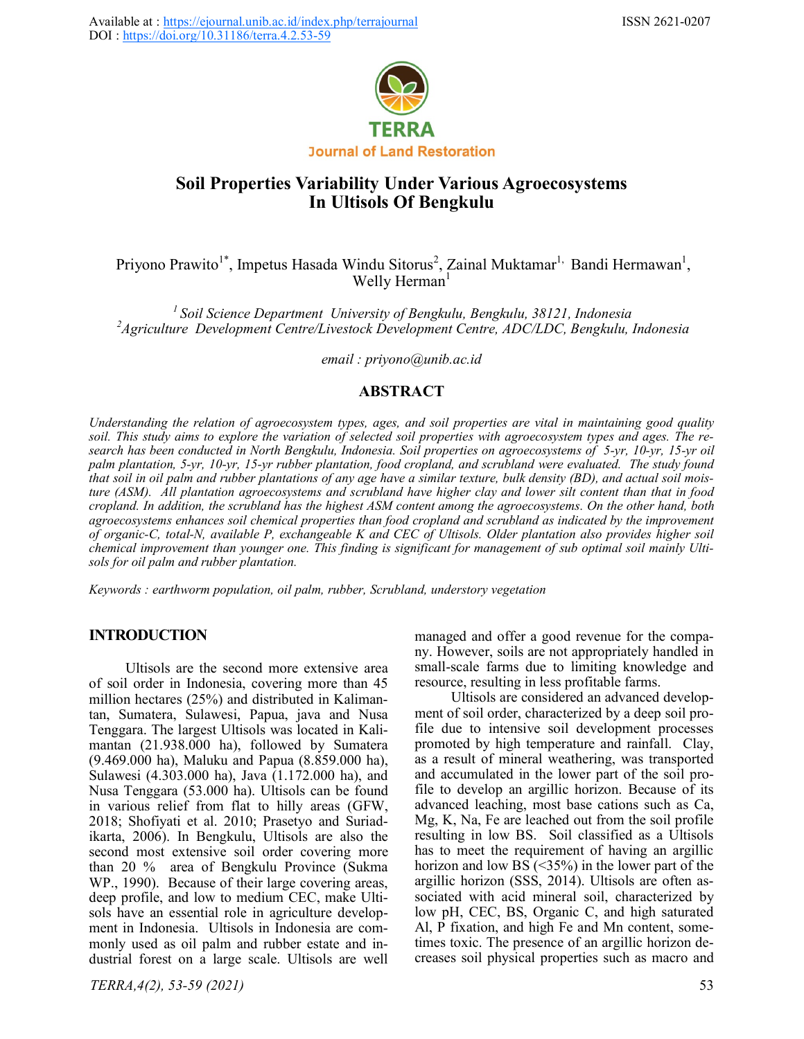

# **Soil Properties Variability Under Various Agroecosystems In Ultisols Of Bengkulu**

Priyono Prawito<sup>1\*</sup>, Impetus Hasada Windu Sitorus<sup>2</sup>, Zainal Muktamar<sup>1,</sup> Bandi Hermawan<sup>1</sup>, Welly Herman $<sup>1</sup>$ </sup>

*<sup>1</sup>Soil Science Department University of Bengkulu, Bengkulu, 38121, Indonesia <sup>2</sup>Agriculture Development Centre/Livestock Development Centre, ADC/LDC, Bengkulu, Indonesia*

*email : priyono@unib.ac.id*

## **ABSTRACT**

*Understanding the relation of agroecosystem types, ages, and soil properties are vital in maintaining good quality soil. This study aims to explore the variation of selected soil properties with agroecosystem types and ages. The research has been conducted in North Bengkulu, Indonesia. Soil properties on agroecosystems of 5-yr, 10-yr, 15-yr oil palm plantation, 5-yr, 10-yr, 15-yr rubber plantation, food cropland, and scrubland were evaluated. The study found that soil in oil palm and rubber plantations of any age have a similar texture, bulk density (BD), and actual soil moisture (ASM). All plantation agroecosystems and scrubland have higher clay and lower silt content than that in food cropland. In addition, the scrubland has the highest ASM content among the agroecosystems. On the other hand, both agroecosystems enhances soil chemical properties than food cropland and scrubland as indicated by the improvement of organic-C, total-N, available P, exchangeable K and CEC of Ultisols. Older plantation also provides higher soil chemical improvement than younger one. This finding is significant for management of sub optimal soil mainly Ultisols for oil palm and rubber plantation.*

*Keywords : earthworm population, oil palm, rubber, Scrubland, understory vegetation*

## **INTRODUCTION**

Ultisols are the second more extensive area of soil order in Indonesia, covering more than 45 million hectares (25%) and distributed in Kalimantan, Sumatera, Sulawesi, Papua, java and Nusa Tenggara. The largest Ultisols was located in Kalimantan (21.938.000 ha), followed by Sumatera (9.469.000 ha), Maluku and Papua (8.859.000 ha), Sulawesi (4.303.000 ha), Java (1.172.000 ha), and Nusa Tenggara (53.000 ha). Ultisols can be found in various relief from flat to hilly areas (GFW, 2018; Shofiyati et al. 2010; Prasetyo and Suriadikarta, 2006). In Bengkulu, Ultisols are also the second most extensive soil order covering more than 20 % area of Bengkulu Province (Sukma WP., 1990). Because of their large covering areas, deep profile, and low to medium CEC, make Ultisols have an essential role in agriculture development in Indonesia. Ultisols in Indonesia are commonly used as oil palm and rubber estate and industrial forest on a large scale. Ultisols are well managed and offer a good revenue for the company. However, soils are not appropriately handled in small-scale farms due to limiting knowledge and resource, resulting in less profitable farms.

Ultisols are considered an advanced development of soil order, characterized by a deep soil profile due to intensive soil development processes promoted by high temperature and rainfall. Clay, as a result of mineral weathering, was transported and accumulated in the lower part of the soil profile to develop an argillic horizon. Because of its advanced leaching, most base cations such as Ca, Mg, K, Na, Fe are leached out from the soil profile resulting in low BS. Soil classified as a Ultisols has to meet the requirement of having an argillic horizon and low BS  $(\leq 35\%)$  in the lower part of the argillic horizon (SSS, 2014). Ultisols are often associated with acid mineral soil, characterized by low pH, CEC, BS, Organic C, and high saturated Al, P fixation, and high Fe and Mn content, sometimes toxic. The presence of an argillic horizon decreases soil physical properties such as macro and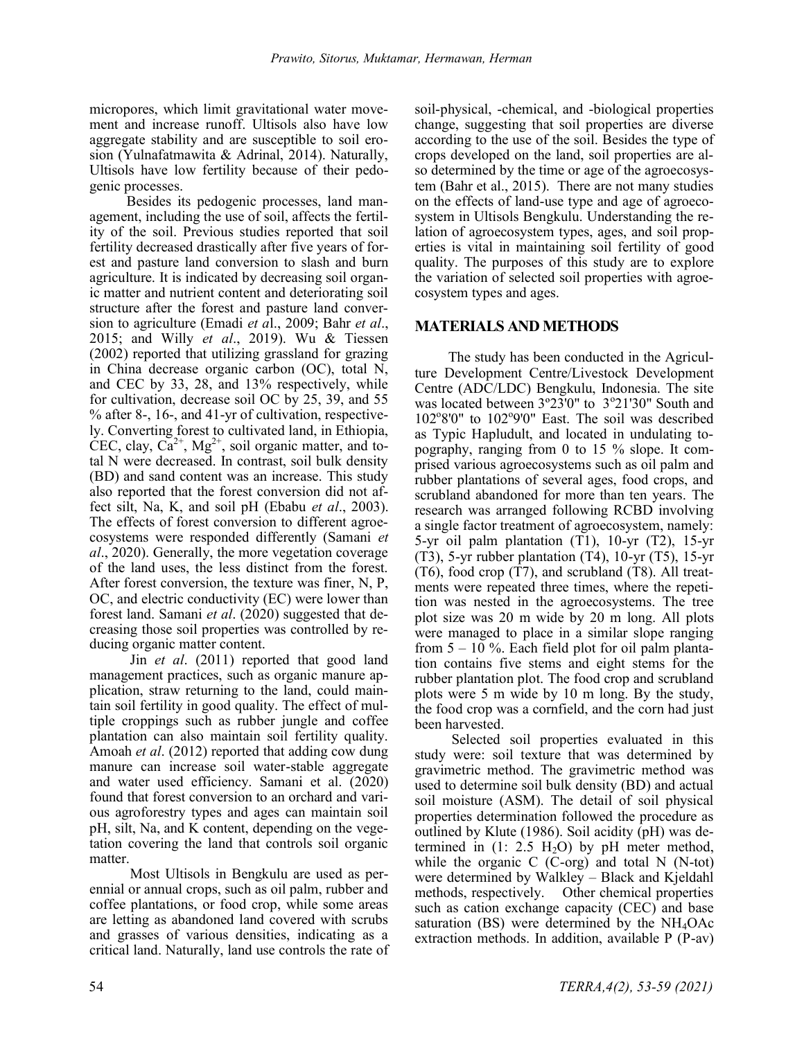micropores, which limit gravitational water movement and increase runoff. Ultisols also have low aggregate stability and are susceptible to soil erosion (Yulnafatmawita & Adrinal, 2014). Naturally, Ultisols have low fertility because of their pedogenic processes.

Besides its pedogenic processes, land management, including the use of soil, affects the fertility of the soil. Previous studies reported that soil fertility decreased drastically after five years of forest and pasture land conversion to slash and burn agriculture. It is indicated by decreasing soil organic matter and nutrient content and deteriorating soil structure after the forest and pasture land conversion to agriculture (Emadi *et a*l., 2009; Bahr *et al*., 2015; and Willy *et al*., 2019). Wu & Tiessen (2002) reported that utilizing grassland for grazing in China decrease organic carbon (OC), total N, and CEC by 33, 28, and 13% respectively, while for cultivation, decrease soil OC by 25, 39, and 55 % after 8-, 16-, and 41-yr of cultivation, respectively. Converting forest to cultivated land, in Ethiopia, CEC, clay,  $Ca^{2+}$ , Mg<sup>2+</sup>, soil organic matter, and total N were decreased. In contrast, soil bulk density (BD) and sand content was an increase. This study also reported that the forest conversion did not affect silt, Na, K, and soil pH (Ebabu *et al*., 2003). The effects of forest conversion to different agroecosystems were responded differently (Samani *et al*., 2020). Generally, the more vegetation coverage of the land uses, the less distinct from the forest. After forest conversion, the texture was finer, N, P, OC, and electric conductivity (EC) were lower than forest land. Samani *et al*. (2020) suggested that decreasing those soil properties was controlled by reducing organic matter content.

Jin *et al*. (2011) reported that good land management practices, such as organic manure application, straw returning to the land, could maintain soil fertility in good quality. The effect of multiple croppings such as rubber jungle and coffee plantation can also maintain soil fertility quality. Amoah *et al*. (2012) reported that adding cow dung manure can increase soil water-stable aggregate and water used efficiency. Samani et al. (2020) found that forest conversion to an orchard and various agroforestry types and ages can maintain soil pH, silt, Na, and K content, depending on the vegetation covering the land that controls soil organic matter.

Most Ultisols in Bengkulu are used as perennial or annual crops, such as oil palm, rubber and coffee plantations, or food crop, while some areas are letting as abandoned land covered with scrubs and grasses of various densities, indicating as a critical land. Naturally, land use controls the rate of soil-physical, -chemical, and -biological properties change, suggesting that soil properties are diverse according to the use of the soil. Besides the type of crops developed on the land, soil properties are also determined by the time or age of the agroecosystem (Bahr et al., 2015). There are not many studies on the effects of land-use type and age of agroecosystem in Ultisols Bengkulu. Understanding the relation of agroecosystem types, ages, and soil properties is vital in maintaining soil fertility of good quality. The purposes of this study are to explore the variation of selected soil properties with agroecosystem types and ages.

## **MATERIALS AND METHODS**

The study has been conducted in the Agriculture Development Centre/Livestock Development Centre (ADC/LDC) Bengkulu, Indonesia. The site was located between 3°23'0" to 3°21'30" South and 102°8'0" to 102°9'0" East. The soil was described as Typic Hapludult, and located in undulating topography, ranging from 0 to 15 % slope. It comprised various agroecosystems such as oil palm and rubber plantations of several ages, food crops, and scrubland abandoned for more than ten years. The research was arranged following RCBD involving a single factor treatment of agroecosystem, namely: 5-yr oil palm plantation (T1), 10-yr (T2), 15-yr (T3), 5-yr rubber plantation (T4), 10-yr (T5), 15-yr (T6), food crop (T7), and scrubland (T8). All treatments were repeated three times, where the repetition was nested in the agroecosystems. The tree plot size was 20 m wide by 20 m long. All plots were managed to place in a similar slope ranging from  $5 - 10$  %. Each field plot for oil palm plantation contains five stems and eight stems for the rubber plantation plot. The food crop and scrubland plots were 5 m wide by 10 m long. By the study, the food crop was a cornfield, and the corn had just been harvested.

Selected soil properties evaluated in this study were: soil texture that was determined by gravimetric method. The gravimetric method was used to determine soil bulk density (BD) and actual soil moisture (ASM). The detail of soil physical properties determination followed the procedure as outlined by Klute (1986). Soil acidity (pH) was determined in  $(1: 2.5 H<sub>2</sub>O)$  by pH meter method, while the organic  $C$  (C-org) and total N (N-tot) were determined by Walkley – Black and Kjeldahl methods, respectively. Other chemical properties such as cation exchange capacity (CEC) and base saturation (BS) were determined by the  $NH<sub>4</sub>OAc$ extraction methods. In addition, available P (P-av)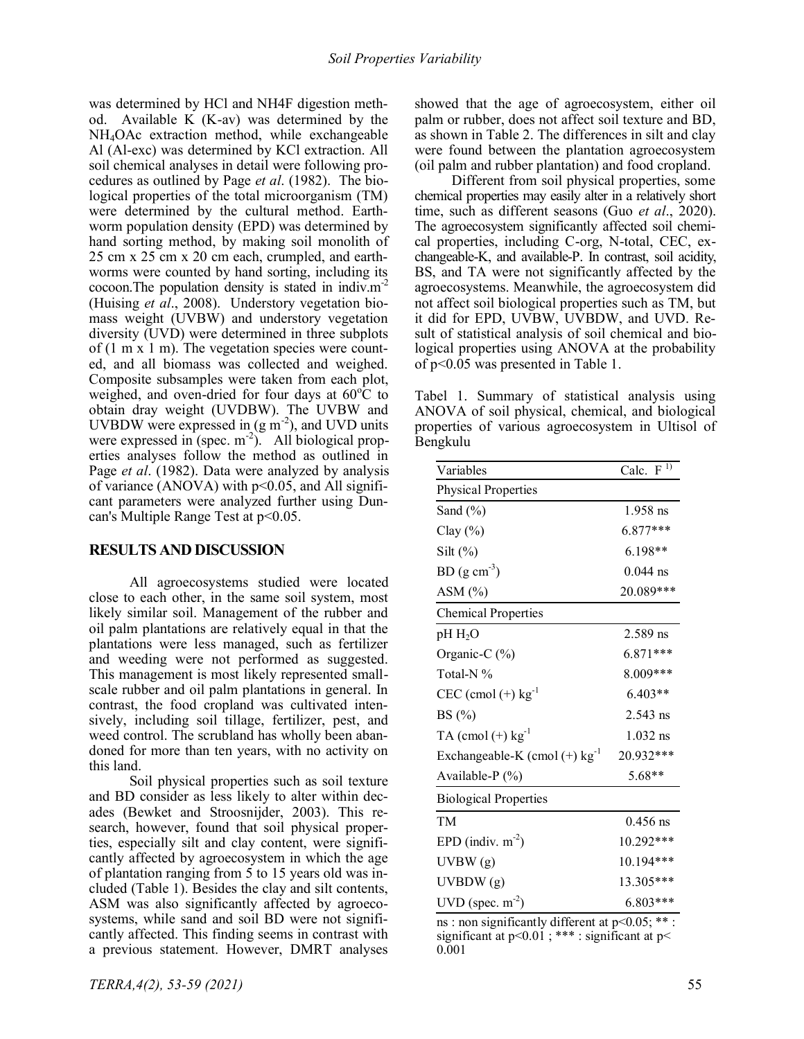was determined by HCl and NH4F digestion method. Available K (K-av) was determined by the NH4OAc extraction method, while exchangeable Al (Al-exc) was determined by KCl extraction. All soil chemical analyses in detail were following procedures as outlined by Page *et al*. (1982). The biological properties of the total microorganism (TM) were determined by the cultural method. Earthworm population density (EPD) was determined by hand sorting method, by making soil monolith of 25 cm x 25 cm x 20 cm each, crumpled, and earthworms were counted by hand sorting, including its cocoon. The population density is stated in indiv. $m<sup>2</sup>$ (Huising *et al*., 2008). Understory vegetation biomass weight (UVBW) and understory vegetation diversity (UVD) were determined in three subplots of (1 m x 1 m). The vegetation species were counted, and all biomass was collected and weighed. Composite subsamples were taken from each plot, weighed, and oven-dried for four days at  $60^{\circ}$ C to obtain dray weight (UVDBW). The UVBW and UVBDW were expressed in  $(g m^{-2})$ , and UVD units were expressed in (spec.  $m^{-2}$ ). All biological properties analyses follow the method as outlined in Page *et al*. (1982). Data were analyzed by analysis of variance (ANOVA) with  $p<0.05$ , and All significant parameters were analyzed further using Duncan's Multiple Range Test at p<0.05.

#### **RESULTS AND DISCUSSION**

All agroecosystems studied were located close to each other, in the same soil system, most likely similar soil. Management of the rubber and oil palm plantations are relatively equal in that the plantations were less managed, such as fertilizer and weeding were not performed as suggested. This management is most likely represented smallscale rubber and oil palm plantations in general. In contrast, the food cropland was cultivated intensively, including soil tillage, fertilizer, pest, and weed control. The scrubland has wholly been abandoned for more than ten years, with no activity on this land.

Soil physical properties such as soil texture and BD consider as less likely to alter within decades (Bewket and Stroosnijder, 2003). This research, however, found that soil physical properties, especially silt and clay content, were significantly affected by agroecosystem in which the age of plantation ranging from 5 to 15 years old was included (Table 1). Besides the clay and silt contents, ASM was also significantly affected by agroecosystems, while sand and soil BD were not significantly affected. This finding seems in contrast with a previous statement. However, DMRT analyses showed that the age of agroecosystem, either oil palm or rubber, does not affect soil texture and BD, as shown in Table 2. The differences in silt and clay were found between the plantation agroecosystem (oil palm and rubber plantation) and food cropland.

Different from soil physical properties, some chemical properties may easily alter in a relatively short time, such as different seasons (Guo *et al*., 2020). The agroecosystem significantly affected soil chemical properties, including C-org, N-total, CEC, exchangeable-K, and available-P. In contrast, soil acidity, BS, and TA were not significantly affected by the agroecosystems. Meanwhile, the agroecosystem did not affect soil biological properties such as TM, but it did for EPD, UVBW, UVBDW, and UVD. Result of statistical analysis of soil chemical and biological properties using ANOVA at the probability of p<0.05 was presented in Table 1.

Tabel 1. Summary of statistical analysis using ANOVA of soil physical, chemical, and biological properties of various agroecosystem in Ultisol of Bengkulu

| Variables                                   | Calc. $\overline{F^{1}}$ |  |  |
|---------------------------------------------|--------------------------|--|--|
| <b>Physical Properties</b>                  |                          |  |  |
| Sand (%)                                    | $1.958$ ns               |  |  |
| Clay $(\%)$                                 | $6.877***$               |  |  |
| Silt $(\%)$                                 | $6.198**$                |  |  |
| $BD (g cm-3)$                               | $0.044$ ns               |  |  |
| $ASM$ $(\% )$                               | 20.089***                |  |  |
| <b>Chemical Properties</b>                  |                          |  |  |
| $pH H_2O$                                   | $2.589$ ns               |  |  |
| Organic-C $(\%)$                            | $6.871***$               |  |  |
| Total-N%                                    | 8.009***                 |  |  |
| $CEC$ (cmol (+) $kg^{-1}$                   | $6.403**$                |  |  |
| BS $(\% )$                                  | $2.543$ ns               |  |  |
| $TA$ (cmol (+) $kg^{-1}$                    | $1.032$ ns               |  |  |
| Exchangeable-K (cmol $(+)$ kg <sup>-1</sup> | 20.932***                |  |  |
| Available-P (%)                             | $5.68**$                 |  |  |
| <b>Biological Properties</b>                |                          |  |  |
| TM                                          | $0.456$ ns               |  |  |
| EPD (indiv. $m^{-2}$ )                      | 10.292***                |  |  |
| UVBW(g)                                     | 10.194***                |  |  |
| UVBDW (g)                                   | 13.305***                |  |  |
| $UVD$ (spec. $m^{-2}$ )                     | 6.803***                 |  |  |

ns : non significantly different at p<0.05; \*\* : significant at  $p<0.01$ ; \*\*\* : significant at  $p<$ 0.001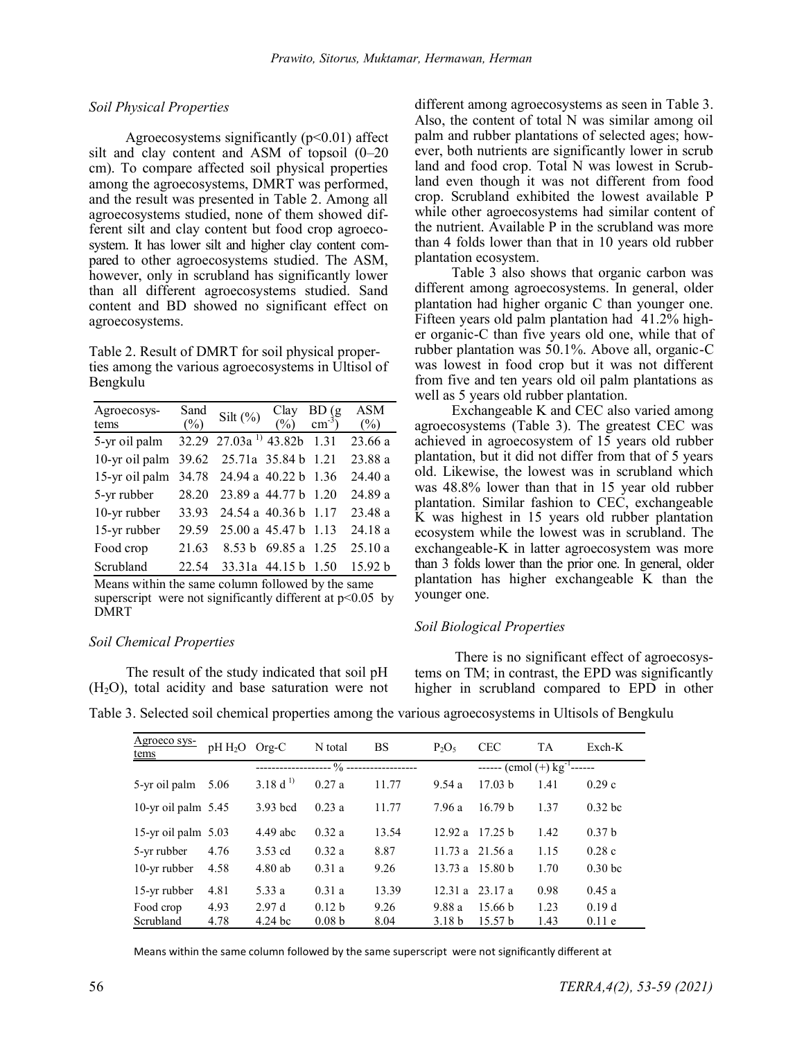### *Soil Physical Properties*

Agroecosystems significantly  $(p<0.01)$  affect silt and clay content and ASM of topsoil (0–20 cm). To compare affected soil physical properties among the agroecosystems, DMRT was performed, and the result was presented in Table 2. Among all agroecosystems studied, none of them showed different silt and clay content but food crop agroecosystem. It has lower silt and higher clay content compared to other agroecosystems studied. The ASM, however, only in scrubland has significantly lower than all different agroecosystems studied. Sand content and BD showed no significant effect on agroecosystems.

Table 2. Result of DMRT for soil physical properties among the various agroecosystems in Ultisol of Bengkulu

| Agroecosys-<br>tems | Sand<br>$(\%)$ | Silt $(\% )$                     | Clay<br>$(\%)$      | $BD(gcm-3)$ | <b>ASM</b><br>$(\%)$ |
|---------------------|----------------|----------------------------------|---------------------|-------------|----------------------|
| 5-yr oil palm       |                | 32.29 27.03a <sup>1</sup> 43.82b |                     | 1.31        | 23.66 a              |
| 10-yr oil palm      |                | 39.62 25.71a 35.84 b 1.21        |                     |             | 23.88 a              |
| 15-yr oil palm      | 34.78          | 24.94 a 40.22 b                  |                     | 1.36        | 24.40 a              |
| 5-yr rubber         | 28.20          | 23.89 a 44.77 b 1.20             |                     |             | 24.89 a              |
| 10-yr rubber        | 33.93          | 24.54 a 40.36 b 1.17             |                     |             | 23.48 a              |
| 15-yr rubber        | 29.59          | 25.00 a 45.47 b                  |                     | 1.13        | 24.18 a              |
| Food crop           | 21.63          |                                  | 8.53 b 69.85 a      | 1.25        | 25.10 a              |
| Scrubland           | 22.54          |                                  | 33.31a 44.15 b 1.50 |             | 15.92 <sub>b</sub>   |

Means within the same column followed by the same superscript were not significantly different at  $p<0.05$  by DMRT

#### *Soil Chemical Properties*

The result of the study indicated that soil pH  $(H<sub>2</sub>O)$ , total acidity and base saturation were not different among agroecosystems as seen in Table 3. Also, the content of total N was similar among oil palm and rubber plantations of selected ages; however, both nutrients are significantly lower in scrub land and food crop. Total N was lowest in Scrubland even though it was not different from food crop. Scrubland exhibited the lowest available P while other agroecosystems had similar content of the nutrient. Available P in the scrubland was more than 4 folds lower than that in 10 years old rubber plantation ecosystem.

Table 3 also shows that organic carbon was different among agroecosystems. In general, older plantation had higher organic C than younger one. Fifteen years old palm plantation had 41.2% higher organic-C than five years old one, while that of rubber plantation was 50.1%. Above all, organic-C was lowest in food crop but it was not different from five and ten years old oil palm plantations as well as 5 years old rubber plantation.

Exchangeable K and CEC also varied among agroecosystems (Table 3). The greatest CEC was achieved in agroecosystem of 15 years old rubber plantation, but it did not differ from that of 5 years old. Likewise, the lowest was in scrubland which was 48.8% lower than that in 15 year old rubber plantation. Similar fashion to CEC, exchangeable K was highest in 15 years old rubber plantation ecosystem while the lowest was in scrubland. The exchangeable-K in latter agroecosystem was more than 3 folds lower than the prior one. In general, older plantation has higher exchangeable K than the younger one.

### *Soil Biological Properties*

There is no significant effect of agroecosystems on TM; in contrast, the EPD was significantly higher in scrubland compared to EPD in other

Table 3. Selected soil chemical properties among the various agroecosystems in Ultisols of Bengkulu

| Agroeco sys-<br>tems  | $pH H_2O$ | $Org-C$            | N total           | <b>BS</b> | $P_2O_5$          | <b>CEC</b>                        | <b>TA</b> | Exch-K            |  |
|-----------------------|-----------|--------------------|-------------------|-----------|-------------------|-----------------------------------|-----------|-------------------|--|
|                       |           |                    | $\frac{1}{2}$ --  |           |                   | ------ (cmol (+) $kg^{-1}$ ------ |           |                   |  |
| 5-yr oil palm         | 5.06      | 3.18 $d^{1}$       | 0.27a             | 11.77     | 9.54a             | 17.03 <sub>b</sub>                | 1.41      | 0.29c             |  |
| 10-yr oil palm $5.45$ |           | 3.93 bcd           | 0.23a             | 11.77     | 7.96 a            | 16.79 <sub>b</sub>                | 1.37      | $0.32$ bc         |  |
| 15-yr oil palm $5.03$ |           | $4.49$ abc         | 0.32a             | 13.54     | 12.92 a           | 17.25 h                           | 1.42      | 0.37 <sub>b</sub> |  |
| 5-yr rubber           | 4.76      | $3.53$ cd          | 0.32a             | 8.87      | 11.73 a $21.56$ a |                                   | 1.15      | 0.28c             |  |
| 10-yr rubber          | 4.58      | $4.80$ ab          | 0.31a             | 9.26      | 13.73 a 15.80 b   |                                   | 1.70      | 0.30 <sub>b</sub> |  |
| 15-yr rubber          | 4.81      | 5.33 a             | 0.31a             | 13.39     | $12.31a$ 23.17 a  |                                   | 0.98      | 0.45a             |  |
| Food crop             | 4.93      | 2.97d              | 0.12 <sub>b</sub> | 9.26      | 9.88 a            | 15.66 <sub>b</sub>                | 1.23      | 0.19d             |  |
| Scrubland             | 4.78      | 4.24 <sub>bc</sub> | 0.08 <sub>b</sub> | 8.04      | 3.18 <sub>b</sub> | 15.57 <sub>b</sub>                | 1.43      | 0.11e             |  |

Means within the same column followed by the same superscript were not significantly different at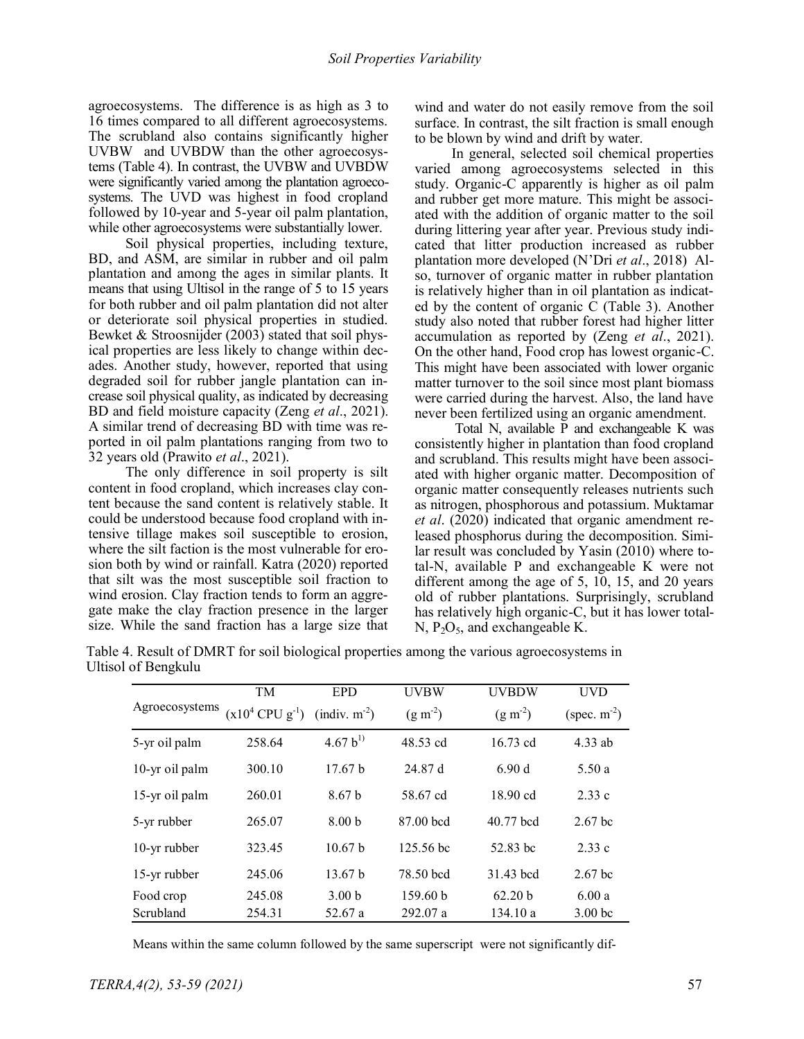agroecosystems. The difference is as high as 3 to 16 times compared to all different agroecosystems. The scrubland also contains significantly higher UVBW and UVBDW than the other agroecosystems (Table 4). In contrast, the UVBW and UVBDW were significantly varied among the plantation agroecosystems. The UVD was highest in food cropland followed by 10-year and 5-year oil palm plantation, while other agroecosystems were substantially lower.

Soil physical properties, including texture, BD, and ASM, are similar in rubber and oil palm plantation and among the ages in similar plants. It means that using Ultisol in the range of 5 to 15 years for both rubber and oil palm plantation did not alter or deteriorate soil physical properties in studied. Bewket & Stroosnijder (2003) stated that soil physical properties are less likely to change within decades. Another study, however, reported that using degraded soil for rubber jangle plantation can increase soil physical quality, as indicated by decreasing BD and field moisture capacity (Zeng *et al*., 2021). A similar trend of decreasing BD with time was reported in oil palm plantations ranging from two to 32 years old (Prawito *et al*., 2021).

The only difference in soil property is silt content in food cropland, which increases clay content because the sand content is relatively stable. It could be understood because food cropland with intensive tillage makes soil susceptible to erosion, where the silt faction is the most vulnerable for erosion both by wind or rainfall. Katra (2020) reported that silt was the most susceptible soil fraction to wind erosion. Clay fraction tends to form an aggregate make the clay fraction presence in the larger size. While the sand fraction has a large size that wind and water do not easily remove from the soil surface. In contrast, the silt fraction is small enough to be blown by wind and drift by water.

In general, selected soil chemical properties varied among agroecosystems selected in this study. Organic-C apparently is higher as oil palm and rubber get more mature. This might be associated with the addition of organic matter to the soil during littering year after year. Previous study indicated that litter production increased as rubber plantation more developed (N'Dri *et al*., 2018) Also, turnover of organic matter in rubber plantation is relatively higher than in oil plantation as indicated by the content of organic C (Table 3). Another study also noted that rubber forest had higher litter accumulation as reported by (Zeng *et al*., 2021). On the other hand, Food crop has lowest organic-C. This might have been associated with lower organic matter turnover to the soil since most plant biomass were carried during the harvest. Also, the land have never been fertilized using an organic amendment.

Total N, available P and exchangeable K was consistently higher in plantation than food cropland and scrubland. This results might have been associated with higher organic matter. Decomposition of organic matter consequently releases nutrients such as nitrogen, phosphorous and potassium. Muktamar *et al*. (2020) indicated that organic amendment released phosphorus during the decomposition. Similar result was concluded by Yasin (2010) where total-N, available P and exchangeable K were not different among the age of 5, 10, 15, and 20 years old of rubber plantations. Surprisingly, scrubland has relatively high organic-C, but it has lower total-N,  $P_2O_5$ , and exchangeable K.

| isol of Bengkulu |                                                   |                    |             |                    |                    |
|------------------|---------------------------------------------------|--------------------|-------------|--------------------|--------------------|
|                  | <b>TM</b>                                         | <b>EPD</b>         | <b>UVBW</b> | <b>UVBDW</b>       | <b>UVD</b>         |
| Agroecosystems   | $(x10^4$ CPU $g^{-1}$ ) (indiv. m <sup>-2</sup> ) |                    | $(g m-2)$   | $(g m^{-2})$       | (spec. $m^{-2}$ )  |
| 5-yr oil palm    | 258.64                                            | 4.67 $b^{1}$       | 48.53 cd    | $16.73$ cd         | $4.33$ ab          |
| 10-yr oil palm   | 300.10                                            | 17.67 <sub>b</sub> | 24.87 d     | 6.90d              | 5.50a              |
| 15-yr oil palm   | 260.01                                            | 8.67 <sub>b</sub>  | 58.67 cd    | $18.90 \text{ cd}$ | 2.33c              |
| 5-yr rubber      | 265.07                                            | 8.00 <sub>b</sub>  | 87.00 bcd   | 40.77 bcd          | 2.67 <sub>bc</sub> |
| 10-yr rubber     | 323.45                                            | 10.67 <sub>b</sub> | 125.56 bc   | 52.83 bc           | 2.33c              |
| 15-yr rubber     | 245.06                                            | 13.67 b            | 78.50 bcd   | 31.43 bcd          | 2.67 <sub>bc</sub> |
| Food crop        | 245.08                                            | 3.00 <sub>b</sub>  | 159.60 b    | 62.20 b            | 6.00a              |
| Scrubland        | 254.31                                            | 52.67 a            | 292.07 a    | 134.10 a           | 3.00 <sub>bc</sub> |

Table 4. Result of DMRT for soil biological properties among the various agroecosystems in Ultisol of Be

Means within the same column followed by the same superscript were not significantly dif-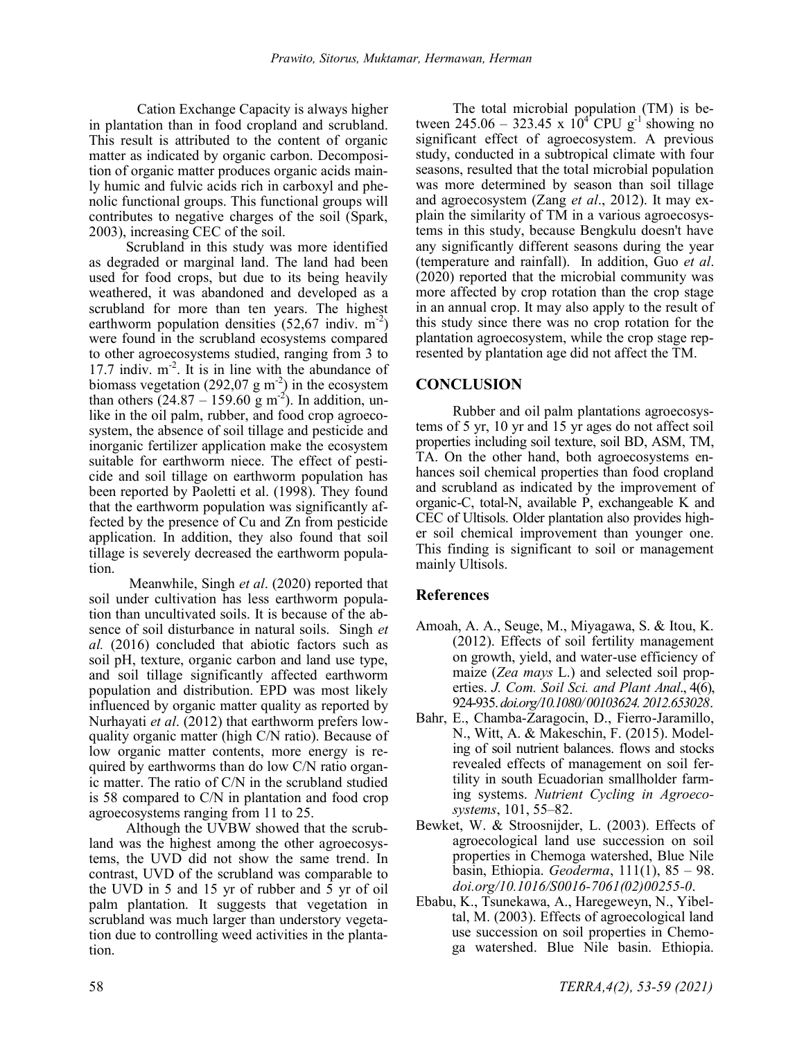Cation Exchange Capacity is always higher in plantation than in food cropland and scrubland. This result is attributed to the content of organic matter as indicated by organic carbon. Decomposition of organic matter produces organic acids mainly humic and fulvic acids rich in carboxyl and phenolic functional groups. This functional groups will contributes to negative charges of the soil (Spark, 2003), increasing CEC of the soil.

Scrubland in this study was more identified as degraded or marginal land. The land had been used for food crops, but due to its being heavily weathered, it was abandoned and developed as a scrubland for more than ten years. The highest earthworm population densities  $(52,67 \text{ indiv. m}^{-2})$ were found in the scrubland ecosystems compared to other agroecosystems studied, ranging from 3 to 17.7 indiv. m<sup>-2</sup>. It is in line with the abundance of biomass vegetation (292,07 g m<sup>-2</sup>) in the ecosystem than others  $(24.87 - 159.60 \text{ g m}^2)$ . In addition, unlike in the oil palm, rubber, and food crop agroecosystem, the absence of soil tillage and pesticide and inorganic fertilizer application make the ecosystem suitable for earthworm niece. The effect of pesticide and soil tillage on earthworm population has been reported by Paoletti et al. (1998). They found that the earthworm population was significantly affected by the presence of Cu and Zn from pesticide application. In addition, they also found that soil tillage is severely decreased the earthworm population.

Meanwhile, Singh *et al*. (2020) reported that soil under cultivation has less earthworm population than uncultivated soils. It is because of the absence of soil disturbance in natural soils. Singh *et al.* (2016) concluded that abiotic factors such as soil pH, texture, organic carbon and land use type, and soil tillage significantly affected earthworm population and distribution. EPD was most likely influenced by organic matter quality as reported by Nurhayati *et al*. (2012) that earthworm prefers lowquality organic matter (high C/N ratio). Because of low organic matter contents, more energy is required by earthworms than do low C/N ratio organic matter. The ratio of C/N in the scrubland studied is 58 compared to C/N in plantation and food crop agroecosystems ranging from 11 to 25.

Although the UVBW showed that the scrubland was the highest among the other agroecosystems, the UVD did not show the same trend. In contrast, UVD of the scrubland was comparable to the UVD in 5 and 15 yr of rubber and 5 yr of oil palm plantation. It suggests that vegetation in scrubland was much larger than understory vegetation due to controlling weed activities in the plantation.

The total microbial population (TM) is between 245.06 – 323.45 x  $10^{4}$  CPU g<sup>-1</sup> showing no significant effect of agroecosystem. A previous study, conducted in a subtropical climate with four seasons, resulted that the total microbial population was more determined by season than soil tillage and agroecosystem (Zang *et al*., 2012). It may explain the similarity of TM in a various agroecosystems in this study, because Bengkulu doesn't have any significantly different seasons during the year (temperature and rainfall). In addition, Guo *et al*. (2020) reported that the microbial community was more affected by crop rotation than the crop stage in an annual crop. It may also apply to the result of this study since there was no crop rotation for the plantation agroecosystem, while the crop stage represented by plantation age did not affect the TM.

## **CONCLUSION**

Rubber and oil palm plantations agroecosystems of 5 yr, 10 yr and 15 yr ages do not affect soil properties including soil texture, soil BD, ASM, TM, TA. On the other hand, both agroecosystems enhances soil chemical properties than food cropland and scrubland as indicated by the improvement of organic-C, total-N, available P, exchangeable K and CEC of Ultisols. Older plantation also provides higher soil chemical improvement than younger one. This finding is significant to soil or management mainly Ultisols.

## **References**

- Amoah, A. A., Seuge, M., Miyagawa, S. & Itou, K. (2012). Effects of soil fertility management on growth, yield, and water-use efficiency of maize (*Zea mays* L.) and selected soil properties. *J. Com. Soil Sci. and Plant Anal*., 4(6), 924-935. *[doi.org/10.1080/ 00103624. 2012.653028](https://doi.org/10.1080/00103624.2012.653028)*.
- Bahr, E., Chamba-Zaragocin, D., Fierro-Jaramillo, N., Witt, A. & Makeschin, F. (2015). Modeling of soil nutrient balances. flows and stocks revealed effects of management on soil fertility in south Ecuadorian smallholder farming systems. *Nutrient Cycling in Agroecosystems*, 101, 55–82.
- Bewket, W. & Stroosnijder, L. (2003). Effects of agroecological land use succession on soil properties in Chemoga watershed, Blue Nile basin, Ethiopia. *Geoderma*, 111(1), 85 – 98. *[doi.org/10.1016/S0016](https://doi.org/10.1016/S0016-7061(02)00255-0)-7061(02)00255-0*.
- Ebabu, K., Tsunekawa, A., Haregeweyn, N., Yibeltal, M. (2003). Effects of agroecological land use succession on soil properties in Chemoga watershed. Blue Nile basin. Ethiopia.